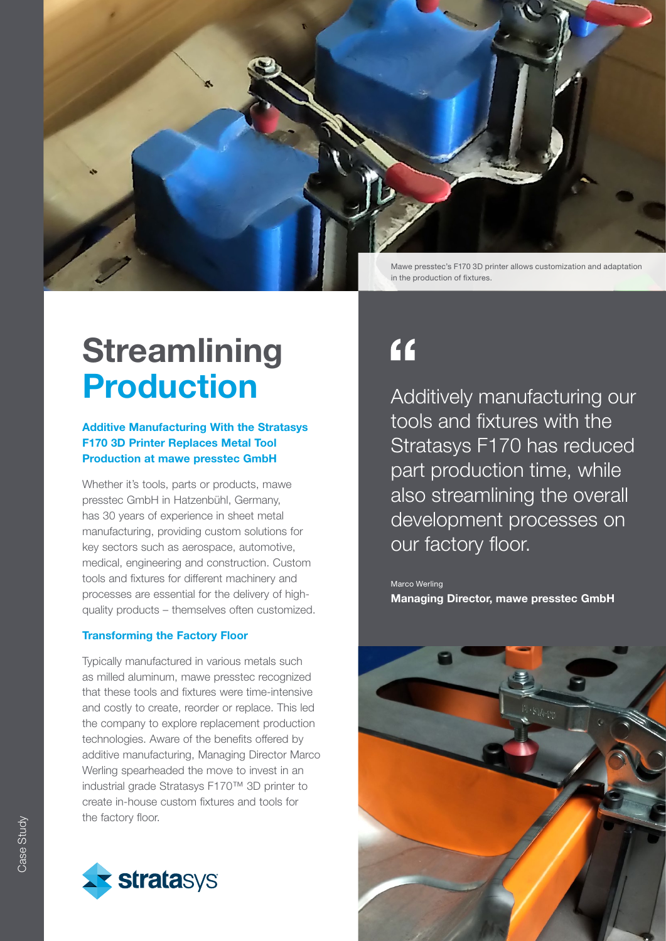

### **Streamlining** Production

### Additive Manufacturing With the Stratasys F170 3D Printer Replaces Metal Tool Production at mawe presstec GmbH

Whether it's tools, parts or products, mawe presstec GmbH in Hatzenbühl, Germany, has 30 years of experience in sheet metal manufacturing, providing custom solutions for key sectors such as aerospace, automotive, medical, engineering and construction. Custom tools and fixtures for different machinery and processes are essential for the delivery of highquality products – themselves often customized.

#### Transforming the Factory Floor

Typically manufactured in various metals such as milled aluminum, mawe presstec recognized that these tools and fixtures were time-intensive and costly to create, reorder or replace. This led the company to explore replacement production technologies. Aware of the benefits offered by additive manufacturing, Managing Director Marco Werling spearheaded the move to invest in an industrial grade Stratasys F170™ 3D printer to create in-house custom fixtures and tools for the factory floor.



### $\overline{11}$

Additively manufacturing our tools and fixtures with the Stratasys F170 has reduced part production time, while also streamlining the overall development processes on our factory floor.

Marco Werling Managing Director, mawe presstec GmbH

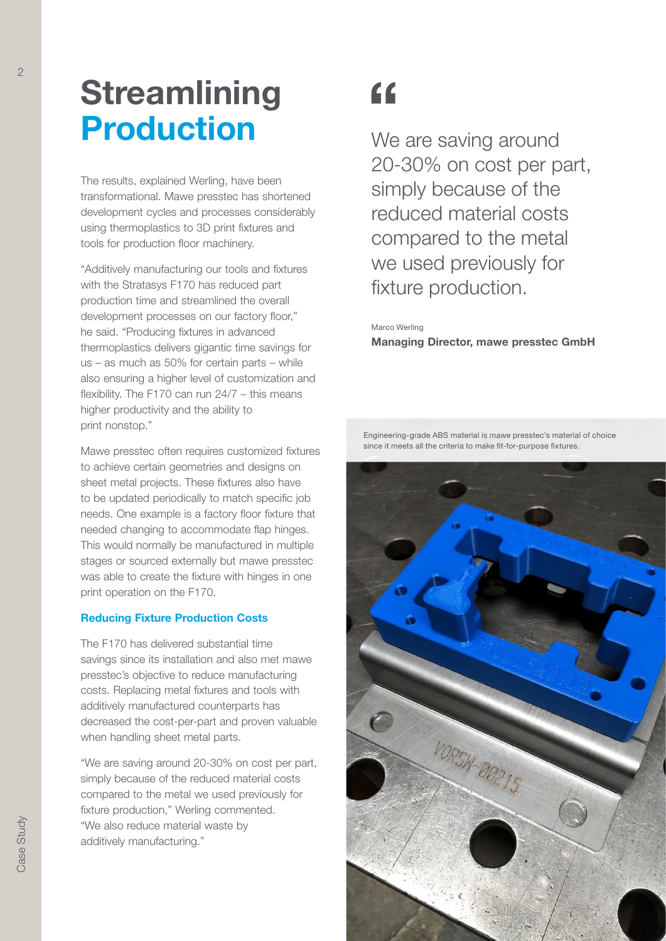# **Streamlining** Production

The results, explained Werling, have been transformational. Mawe presstec has shortened development cycles and processes considerably using thermoplastics to 3D print fixtures and tools for production floor machinery.

"Additively manufacturing our tools and fixtures with the Stratasys F170 has reduced part production time and streamlined the overall development processes on our factory floor," he said. "Producing fixtures in advanced thermoplastics delivers gigantic time savings for us – as much as 50% for certain parts – while also ensuring a higher level of customization and flexibility. The F170 can run 24/7 – this means higher productivity and the ability to print nonstop."

Mawe presstec often requires customized fixtures to achieve certain geometries and designs on sheet metal projects. These fixtures also have to be updated periodically to match specific job needs. One example is a factory floor fixture that needed changing to accommodate flap hinges. This would normally be manufactured in multiple stages or sourced externally but mawe presstec was able to create the fixture with hinges in one print operation on the F170.

#### Reducing Fixture Production Costs

The F170 has delivered substantial time savings since its installation and also met mawe presstec's objective to reduce manufacturing costs. Replacing metal fixtures and tools with additively manufactured counterparts has decreased the cost-per-part and proven valuable when handling sheet metal parts.

"We are saving around 20-30% on cost per part, simply because of the reduced material costs compared to the metal we used previously for fixture production," Werling commented. "We also reduce material waste by additively manufacturing."

# $66$

We are saving around 20-30% on cost per part, simply because of the reduced material costs compared to the metal we used previously for fixture production.

### Marco Werling

Managing Director, mawe presstec GmbH

Engineering-grade ABS material is mawe presstec's material of choice since it meets all the criteria to make fit-for-purpose fixtures.

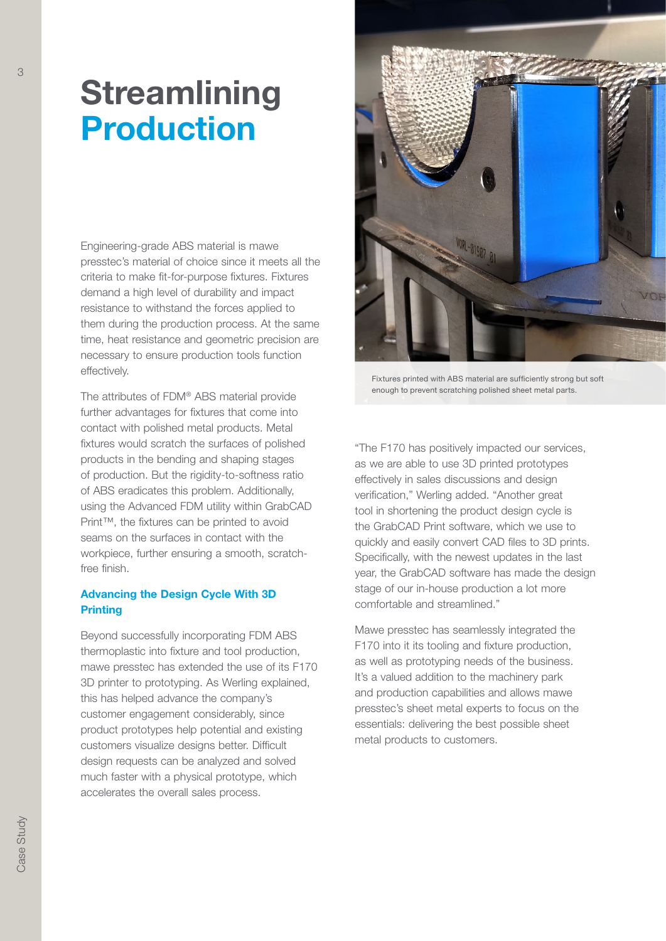### **Streamlining** Production

Engineering-grade ABS material is mawe presstec's material of choice since it meets all the criteria to make fit-for-purpose fixtures. Fixtures demand a high level of durability and impact resistance to withstand the forces applied to them during the production process. At the same time, heat resistance and geometric precision are necessary to ensure production tools function effectively.

The attributes of FDM® ABS material provide further advantages for fixtures that come into contact with polished metal products. Metal fixtures would scratch the surfaces of polished products in the bending and shaping stages of production. But the rigidity-to-softness ratio of ABS eradicates this problem. Additionally, using the Advanced FDM utility within GrabCAD Print™, the fixtures can be printed to avoid seams on the surfaces in contact with the workpiece, further ensuring a smooth, scratchfree finish.

### Advancing the Design Cycle With 3D **Printing**

Beyond successfully incorporating FDM ABS thermoplastic into fixture and tool production, mawe presstec has extended the use of its F170 3D printer to prototyping. As Werling explained, this has helped advance the company's customer engagement considerably, since product prototypes help potential and existing customers visualize designs better. Difficult design requests can be analyzed and solved much faster with a physical prototype, which accelerates the overall sales process.



Fixtures printed with ABS material are sufficiently strong but soft enough to prevent scratching polished sheet metal parts.

"The F170 has positively impacted our services, as we are able to use 3D printed prototypes effectively in sales discussions and design verification," Werling added. "Another great tool in shortening the product design cycle is the GrabCAD Print software, which we use to quickly and easily convert CAD files to 3D prints. Specifically, with the newest updates in the last year, the GrabCAD software has made the design stage of our in-house production a lot more comfortable and streamlined."

Mawe presstec has seamlessly integrated the F170 into it its tooling and fixture production, as well as prototyping needs of the business. It's a valued addition to the machinery park and production capabilities and allows mawe presstec's sheet metal experts to focus on the essentials: delivering the best possible sheet metal products to customers.